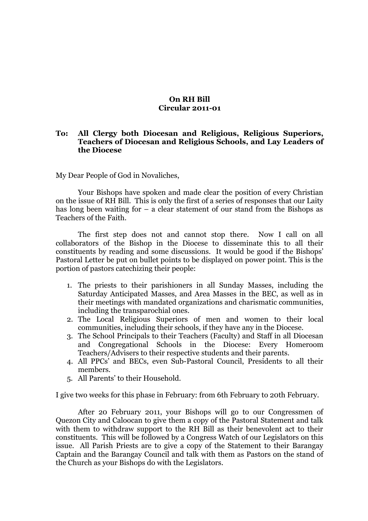## **On RH Bill Circular 2011-01**

## **To: All Clergy both Diocesan and Religious, Religious Superiors, Teachers of Diocesan and Religious Schools, and Lay Leaders of the Diocese**

My Dear People of God in Novaliches,

Your Bishops have spoken and made clear the position of every Christian on the issue of RH Bill. This is only the first of a series of responses that our Laity has long been waiting for  $-$  a clear statement of our stand from the Bishops as Teachers of the Faith.

The first step does not and cannot stop there. Now I call on all collaborators of the Bishop in the Diocese to disseminate this to all their constituents by reading and some discussions. It would be good if the Bishops' Pastoral Letter be put on bullet points to be displayed on power point. This is the portion of pastors catechizing their people:

- 1. The priests to their parishioners in all Sunday Masses, including the Saturday Anticipated Masses, and Area Masses in the BEC, as well as in their meetings with mandated organizations and charismatic communities, including the transparochial ones.
- 2. The Local Religious Superiors of men and women to their local communities, including their schools, if they have any in the Diocese.
- 3. The School Principals to their Teachers (Faculty) and Staff in all Diocesan and Congregational Schools in the Diocese: Every Homeroom Teachers/Advisers to their respective students and their parents.
- 4. All PPCs' and BECs, even Sub-Pastoral Council, Presidents to all their members.
- 5. All Parents' to their Household.

I give two weeks for this phase in February: from 6th February to 20th February.

After 20 February 2011, your Bishops will go to our Congressmen of Quezon City and Caloocan to give them a copy of the Pastoral Statement and talk with them to withdraw support to the RH Bill as their benevolent act to their constituents. This will be followed by a Congress Watch of our Legislators on this issue. All Parish Priests are to give a copy of the Statement to their Barangay Captain and the Barangay Council and talk with them as Pastors on the stand of the Church as your Bishops do with the Legislators.